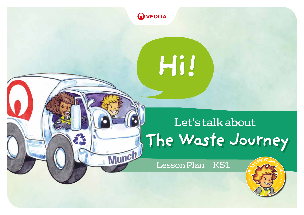

Munch

Hil

# Let's talk about **The Waste Journey**

Lesson Plan | KS1

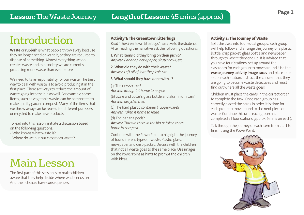## Introduction

Waste or rubbish is what people throw away because they no longer need or want it, or they are required to dispose of something. Almost everything we do creates waste and as a society we are currently producing more waste than ever before.

We need to take responsibility for our waste. The best way to deal with waste is to avoid producing it in the first place. There are ways to reduce the amount of waste going into the bin as well. For example some items, such as vegetable waste, can be composted to make quality garden compost. Many of the items that we throw away can be reused for different purposes or recycled to make new products.

To lead into this lesson, initiate a discussion based on the following questions:

- Who knows what waste is?
- Where do we put our classroom waste?

## Main Lesson

The first part of this session is to make children aware that they help decide where waste ends up. And their choices have consequences.

### Activity 1: The Greentown Litterbugs

Read "The Greentown Litterbugs" narrative to the students. After reading the narrative ask the following questions:

1. What items did they bring on their picnic? *Answer: Bananas, newspaper, plastic bowl, etc*

2. What did they do with their waste? *Answer: Left all of it at the picnic site*

3. What should they have done with…?

(a) The newspaper? *Answer: Brought it home to recycle*

(b) Lizzie and Lucas's glass bottle and aluminium can? *Answer: Recycled them*

(c) The hard plastic container (Tupperware)? *Answer: Taken it home to reuse*

(d) The banana peels? *Answer: Thrown them in the bin or taken them home to compost*

Continue with the PowerPoint to highlight the journey of four different types of waste. Plastic, glass, newspaper and crisp packet. Discuss with the children that not all waste goes to the same place. Use images on the PowerPoint as hints to prompt the children with ideas.

### Activity 2: The Journey of Waste

Split the class into four equal groups. Each group will help follow and arrange the journey of a plastic bottle, crisp packet, glass bottle and newspaper through to where they end up. It is advised that you have four 'stations' set up around the classroom for each group to move around. Use the waste journey activity image cards and place one set on each station. Instruct the children that they are going to become waste detectives and must find out where all the waste goes!

Children must place the cards in the correct order to complete the task. Once each group has correctly placed the cards in order, it is time for each group to move round to the next piece of waste. Continue this until each group has completed all four stations (approx. 5 mins on each).

Talk through the journey of each item from start to finish using the PowerPoint.